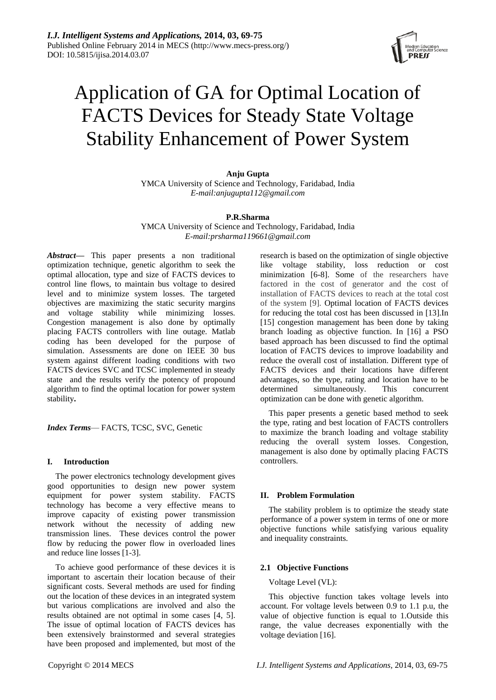

# Application of GA for Optimal Location of FACTS Devices for Steady State Voltage Stability Enhancement of Power System

# **Anju Gupta**

YMCA University of Science and Technology, Faridabad, India *E-mail:anjugupta112@gmail.com*

# **P.R.Sharma**

YMCA University of Science and Technology, Faridabad, India *E-mail:prsharma119661@gmail.com*

*Abstract***—** This paper presents a non traditional optimization technique, genetic algorithm to seek the optimal allocation, type and size of FACTS devices to control line flows, to maintain bus voltage to desired level and to minimize system losses. The targeted objectives are maximizing the static security margins and voltage stability while minimizing losses. Congestion management is also done by optimally placing FACTS controllers with line outage. Matlab coding has been developed for the purpose of simulation. Assessments are done on IEEE 30 bus system against different loading conditions with two FACTS devices SVC and TCSC implemented in steady state and the results verify the potency of propound algorithm to find the optimal location for power system stability**.**

*Index Terms*— FACTS, TCSC, SVC, Genetic

# **I. Introduction**

The power electronics technology development gives good opportunities to design new power system equipment for power system stability. FACTS technology has become a very effective means to improve capacity of existing power transmission network without the necessity of adding new transmission lines. These devices control the power flow by reducing the power flow in overloaded lines and reduce line losses [1-3].

To achieve good performance of these devices it is important to ascertain their location because of their significant costs. Several methods are used for finding out the location of these devices in an integrated system but various complications are involved and also the results obtained are not optimal in some cases [4, 5]. The issue of optimal location of FACTS devices has been extensively brainstormed and several strategies have been proposed and implemented, but most of the

research is based on the optimization of single objective like voltage stability, loss reduction or cost minimization [6-8]. Some of the researchers have factored in the cost of generator and the cost of installation of FACTS devices to reach at the total cost of the system [9]. Optimal location of FACTS devices for reducing the total cost has been discussed in [13].In [15] congestion management has been done by taking branch loading as objective function. In [16] a PSO based approach has been discussed to find the optimal location of FACTS devices to improve loadability and reduce the overall cost of installation. Different type of FACTS devices and their locations have different advantages, so the type, rating and location have to be determined simultaneously. This concurrent optimization can be done with genetic algorithm.

This paper presents a genetic based method to seek the type, rating and best location of FACTS controllers to maximize the branch loading and voltage stability reducing the overall system losses. Congestion, management is also done by optimally placing FACTS controllers.

# **II. Problem Formulation**

The stability problem is to optimize the steady state performance of a power system in terms of one or more objective functions while satisfying various equality and inequality constraints.

# **2.1 Objective Functions**

# Voltage Level (VL):

This objective function takes voltage levels into account. For voltage levels between 0.9 to 1.1 p.u, the value of objective function is equal to 1.Outside this range, the value decreases exponentially with the voltage deviation [16].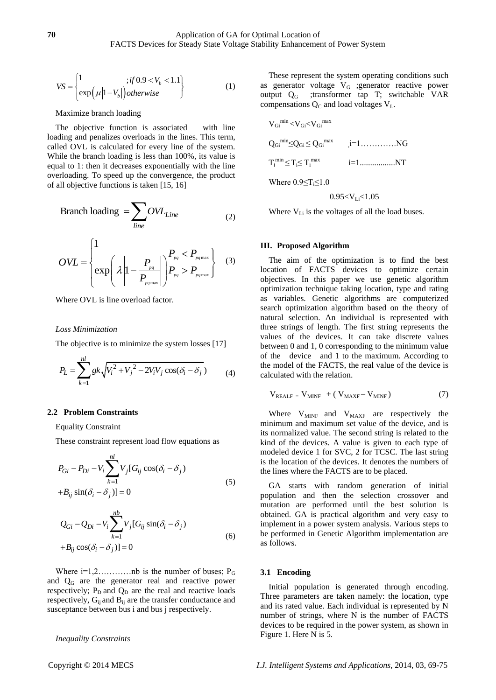$$
VS = \begin{cases} 1 & ; if 0.9 < V_b < 1.1 \\ exp(\mu |1 - V_b|) otherwise \end{cases}
$$
 (1)

#### Maximize branch loading

The objective function is associated with line loading and penalizes overloads in the lines. This term, called OVL is calculated for every line of the system. While the branch loading is less than 100%, its value is equal to 1: then it decreases exponentially with the line overloading. To speed up the convergence, the product of all objective functions is taken [15, 16]

$$
Branch loading = \sum_{line} OVL_{Line}
$$
 (2)

$$
OVL = \begin{cases} 1 & P_{pq} < P_{pq\max} \\ exp\left(\lambda \left|1 - \frac{P_{pq}}{P_{pq\max}}\right|\right) P_{pq} > P_{pq\max} \end{cases}
$$
 (3)

Where OVL is line overload factor.

#### *Loss Minimization*

The objective is to minimize the system losses [17]

$$
P_L = \sum_{k=1}^{nl} g k \sqrt{V_i^2 + V_j^2 - 2V_i V_j \cos(\delta_i - \delta_j)}
$$
 (4)

#### **2.2 Problem Constraints**

Equality Constraint

These constraint represent load flow equations as

$$
P_{Gi} - P_{Di} - V_i \sum_{k=1}^{nl} V_j [G_{ij} \cos(\delta_i - \delta_j)
$$
  
+ $B_{ij} \sin(\delta_i - \delta_j)] = 0$  (5)

$$
Q_{Gi} - Q_{Di} - V_i \sum_{k=1}^{nb} V_j [G_{ij} \sin(\delta_i - \delta_j)
$$
  
+ $B_{ij} \cos(\delta_i - \delta_j)] = 0$  (6)

Where  $i=1,2,\ldots,\ldots$  nb is the number of buses;  $P_G$ and Q<sup>G</sup> are the generator real and reactive power respectively;  $P_D$  and  $Q_D$  are the real and reactive loads respectively,  $G_{ij}$  and  $B_{ij}$  are the transfer conductance and susceptance between bus i and bus j respectively.

*Inequality Constraints*

These represent the system operating conditions such as generator voltage  $V_G$  ; generator reactive power<br>output  $Q_G$  ; transformer tap T; switchable VAR ;transformer tap T; switchable VAR compensations  $Q_C$  and load voltages  $V_L$ .

VGi min <VGi<VGi max QGi min≤QGi ≤ QGi max , i=1………….NG Ti min ≤ Ti≤ T<sup>i</sup> max i=1.................NT Where 0.9≤Ti≤1.0 0.95<VLi<1.05

Where  $V_{Li}$  is the voltages of all the load buses.

#### **III. Proposed Algorithm**

The aim of the optimization is to find the best location of FACTS devices to optimize certain objectives. In this paper we use genetic algorithm optimization technique taking location, type and rating as variables. Genetic algorithms are computerized search optimization algorithm based on the theory of natural selection. An individual is represented with three strings of length. The first string represents the values of the devices. It can take discrete values between 0 and 1, 0 corresponding to the minimum value of the device and 1 to the maximum. According to the model of the FACTS, the real value of the device is calculated with the relation.

$$
V_{REALF} = V_{MINF} + (V_{MAXF} - V_{MINF})
$$
 (7)

Where  $V_{MINF}$  and  $V_{MAXF}$  are respectively the minimum and maximum set value of the device, and is its normalized value. The second string is related to the kind of the devices. A value is given to each type of modeled device 1 for SVC, 2 for TCSC. The last string is the location of the devices. It denotes the numbers of the lines where the FACTS are to be placed.

GA starts with random generation of initial population and then the selection crossover and mutation are performed until the best solution is obtained. GA is practical algorithm and very easy to implement in a power system analysis. Various steps to be performed in Genetic Algorithm implementation are as follows.

#### **3.1 Encoding**

Initial population is generated through encoding. Three parameters are taken namely: the location, type and its rated value. Each individual is represented by N number of strings, where N is the number of FACTS devices to be required in the power system, as shown in Figure 1. Here N is 5.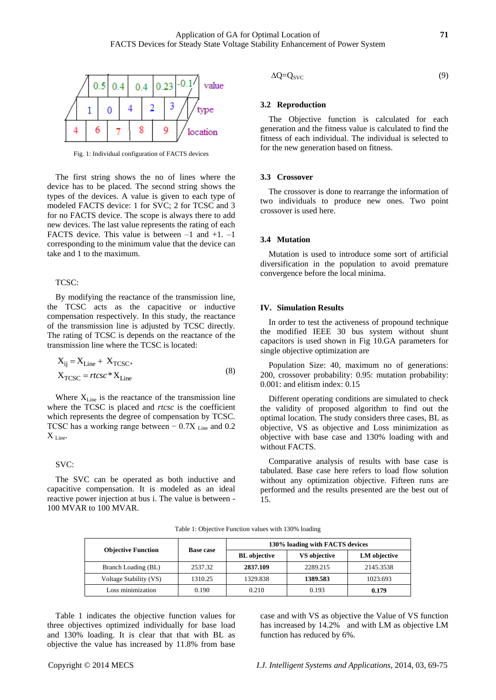

Fig. 1: Individual configuration of FACTS devices

The first string shows the no of lines where the device has to be placed. The second string shows the types of the devices. A value is given to each type of modeled FACTS device: 1 for SVC; 2 for TCSC and 3 for no FACTS device. The scope is always there to add new devices. The last value represents the rating of each FACTS device. This value is between  $-1$  and  $+1$ .  $-1$ corresponding to the minimum value that the device can take and 1 to the maximum.

### TCSC:

By modifying the reactance of the transmission line, the TCSC acts as the capacitive or inductive compensation respectively. In this study, the reactance of the transmission line is adjusted by TCSC directly. The rating of TCSC is depends on the reactance of the transmission line where the TCSC is located:

$$
X_{ij} = X_{Line} + X_{TCSC},
$$
  
\n
$$
X_{TCSC} = rtcsc * X_{Line}
$$
 (8)

Where  $X_{\text{Line}}$  is the reactance of the transmission line where the TCSC is placed and *rtcsc* is the coefficient which represents the degree of compensation by TCSC. TCSC has a working range between  $-0.7X$  Line and 0.2  $X_{\text{Line}}$ .

# SVC:

The SVC can be operated as both inductive and capacitive compensation. It is modeled as an ideal reactive power injection at bus i. The value is between - 100 MVAR to 100 MVAR.

$$
\Delta Q = Q_{SVC} \tag{9}
$$

# **3.2 Reproduction**

The Objective function is calculated for each generation and the fitness value is calculated to find the fitness of each individual. The individual is selected to for the new generation based on fitness.

# **3.3 Crossover**

The crossover is done to rearrange the information of two individuals to produce new ones. Two point crossover is used here.

#### **3.4 Mutation**

Mutation is used to introduce some sort of artificial diversification in the population to avoid premature convergence before the local minima.

#### **IV. Simulation Results**

In order to test the activeness of propound technique the modified IEEE 30 bus system without shunt capacitors is used shown in Fig 10.GA parameters for single objective optimization are

Population Size: 40, maximum no of generations: 200, crossover probability: 0.95: mutation probability: 0.001: and elitism index: 0.15

Different operating conditions are simulated to check the validity of proposed algorithm to find out the optimal location. The study considers three cases, BL as objective, VS as objective and Loss minimization as objective with base case and 130% loading with and without FACTS.

Comparative analysis of results with base case is tabulated. Base case here refers to load flow solution without any optimization objective. Fifteen runs are performed and the results presented are the best out of 15.

Table 1: Objective Function values with 130% loading

| <b>Objective Function</b> | <b>Base case</b> | 130% loading with FACTS devices |                     |              |  |
|---------------------------|------------------|---------------------------------|---------------------|--------------|--|
|                           |                  | <b>BL</b> objective             | <b>VS</b> objective | LM objective |  |
| Branch Loading (BL)       | 2537.32          | 2837.109                        | 2289.215            | 2145.3538    |  |
| Voltage Stability (VS)    | 1310.25          | 1329.838                        | 1389.583            | 1023.693     |  |
| Loss minimization         | 0.190            | 0.210                           | 0.193               | 0.179        |  |

Table 1 indicates the objective function values for three objectives optimized individually for base load and 130% loading. It is clear that that with BL as objective the value has increased by 11.8% from base

case and with VS as objective the Value of VS function has increased by 14.2% and with LM as objective LM function has reduced by 6%.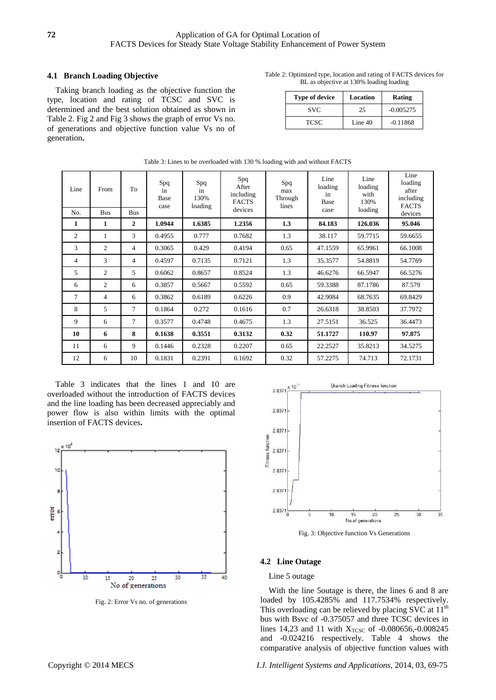# **4.1 Branch Loading Objective**

Taking branch loading as the objective function the type, location and rating of TCSC and SVC is determined and the best solution obtained as shown in Table 2. Fig 2 and Fig 3 shows the graph of error Vs no. of generations and objective function value Vs no of generation**.**

| Table 2: Optimized type, location and rating of FACTS devices for |
|-------------------------------------------------------------------|
| BL as objective at 130% loading loading                           |

| <b>Type of device</b> | Location | Rating      |
|-----------------------|----------|-------------|
| <b>SVC</b>            | 25       | $-0.005275$ |
| <b>TCSC</b>           | Line 40  | $-0.11868$  |

| Line<br>No.    | From<br><b>Bus</b> | To<br><b>Bus</b> | Spq<br>in<br><b>Base</b><br>case | Spq<br>in<br>130%<br>loading | Spq<br>After<br>including<br><b>FACTS</b><br>devices | Spq<br>max<br>Through<br>lines | Line<br>loading<br>in<br>Base<br>case | Line<br>loading<br>with<br>130%<br>loading | Line<br>loading<br>after<br>including<br><b>FACTS</b><br>devices |
|----------------|--------------------|------------------|----------------------------------|------------------------------|------------------------------------------------------|--------------------------------|---------------------------------------|--------------------------------------------|------------------------------------------------------------------|
| 1              | 1                  | $\overline{2}$   | 1.0944                           | 1.6385                       | 1.2356                                               | 1.3                            | 84.183                                | 126.036                                    | 95.046                                                           |
| $\overline{2}$ | 1                  | 3                | 0.4955                           | 0.777                        | 0.7682                                               | 1.3                            | 38.117                                | 59.7715                                    | 59.6655                                                          |
| 3              | $\overline{c}$     | $\overline{4}$   | 0.3065                           | 0.429                        | 0.4194                                               | 0.65                           | 47.1559                               | 65.9961                                    | 66.1008                                                          |
| $\overline{4}$ | 3                  | $\overline{4}$   | 0.4597                           | 0.7135                       | 0.7121                                               | 1.3                            | 35.3577                               | 54.8819                                    | 54.7769                                                          |
| 5              | 2                  | 5                | 0.6062                           | 0.8657                       | 0.8524                                               | 1.3                            | 46.6276                               | 66.5947                                    | 66.5276                                                          |
| 6              | 2                  | 6                | 0.3857                           | 0.5667                       | 0.5592                                               | 0.65                           | 59.3388                               | 87.1786                                    | 87.579                                                           |
| $\tau$         | $\overline{4}$     | 6                | 0.3862                           | 0.6189                       | 0.6226                                               | 0.9                            | 42.9084                               | 68.7635                                    | 69.8429                                                          |
| 8              | 5                  | 7                | 0.1864                           | 0.272                        | 0.1616                                               | 0.7                            | 26.6318                               | 38.8503                                    | 37.7972                                                          |
| 9              | 6                  | 7                | 0.3577                           | 0.4748                       | 0.4675                                               | 1.3                            | 27.5151                               | 36.525                                     | 36.4473                                                          |
| 10             | 6                  | 8                | 0.1638                           | 0.3551                       | 0.3132                                               | 0.32                           | 51.1727                               | 110.97                                     | 97.875                                                           |
| 11             | 6                  | 9                | 0.1446                           | 0.2328                       | 0.2207                                               | 0.65                           | 22.2527                               | 35.8213                                    | 34.5275                                                          |
| 12             | 6                  | 10               | 0.1831                           | 0.2391                       | 0.1692                                               | 0.32                           | 57.2275                               | 74.713                                     | 72.1731                                                          |

Table 3: Lines to be overloaded with 130 % loading with and without FACTS

Table 3 indicates that the lines 1 and 10 are overloaded without the introduction of FACTS devices and the line loading has been decreased appreciably and power flow is also within limits with the optimal insertion of FACTS devices**.**



Fig. 2: Error Vs no. of generations



Fig. 3: Objective function Vs Generations

# **4.2 Line Outage**

# Line 5 outage

With the line 5outage is there, the lines 6 and 8 are loaded by 105.4285% and 117.7534% respectively. This overloading can be relieved by placing  $S\bar{V}C$  at  $11^{\text{th}}$ bus with Bsvc of -0.375057 and three TCSC devices in lines 14,23 and 11 with  $X_{TCSC}$  of -0.080656,-0.008245 and -0.024216 respectively. Table 4 shows the comparative analysis of objective function values with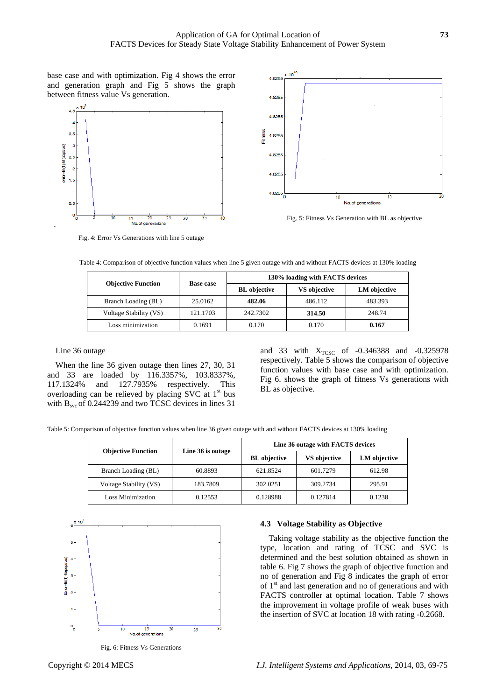base case and with optimization. Fig 4 shows the error and generation graph and Fig 5 shows the graph between fitness value Vs generation.





Fig. 5: Fitness Vs Generation with BL as objective

Fig. 4: Error Vs Generations with line 5 outage

|                           | <b>Base case</b> | 130% loading with FACTS devices |                     |              |  |
|---------------------------|------------------|---------------------------------|---------------------|--------------|--|
| <b>Objective Function</b> |                  | <b>BL</b> objective             | <b>VS</b> objective | LM objective |  |
| Branch Loading (BL)       | 25.0162          | 482.06                          | 486.112             | 483.393      |  |
| Voltage Stability (VS)    | 121.1703         | 242.7302                        | 314.50              | 248.74       |  |
| Loss minimization         | 0.1691           | 0.170                           | 0.170               | 0.167        |  |

Table 4: Comparison of objective function values when line 5 given outage with and without FACTS devices at 130% loading

# Line 36 outage

.

When the line 36 given outage then lines 27, 30, 31 and 33 are loaded by 116.3357%, 103.8337%, 117.1324% and 127.7935% respectively. This overloading can be relieved by placing SVC at  $1<sup>st</sup>$  bus with B<sub>svc</sub> of 0.244239 and two TCSC devices in lines 31

and 33 with  $X_{TCSC}$  of -0.346388 and -0.325978 respectively. Table 5 shows the comparison of objective function values with base case and with optimization. Fig 6. shows the graph of fitness Vs generations with BL as objective.

Table 5: Comparison of objective function values when line 36 given outage with and without FACTS devices at 130% loading

|                           |                   | Line 36 outage with FACTS devices |                     |              |  |
|---------------------------|-------------------|-----------------------------------|---------------------|--------------|--|
| <b>Objective Function</b> | Line 36 is outage | <b>BL</b> objective               | <b>VS</b> objective | LM objective |  |
| Branch Loading (BL)       | 60.8893           | 621.8524                          | 601.7279            | 612.98       |  |
| Voltage Stability (VS)    | 183.7809          | 302.0251                          | 309.2734            | 295.91       |  |
| Loss Minimization         | 0.12553           | 0.128988                          | 0.127814            | 0.1238       |  |



Fig. 6: Fitness Vs Generations

#### **4.3 Voltage Stability as Objective**

Taking voltage stability as the objective function the type, location and rating of TCSC and SVC is determined and the best solution obtained as shown in table 6. Fig 7 shows the graph of objective function and no of generation and Fig 8 indicates the graph of error of  $1<sup>st</sup>$  and last generation and no of generations and with FACTS controller at optimal location. Table 7 shows the improvement in voltage profile of weak buses with the insertion of SVC at location 18 with rating -0.2668.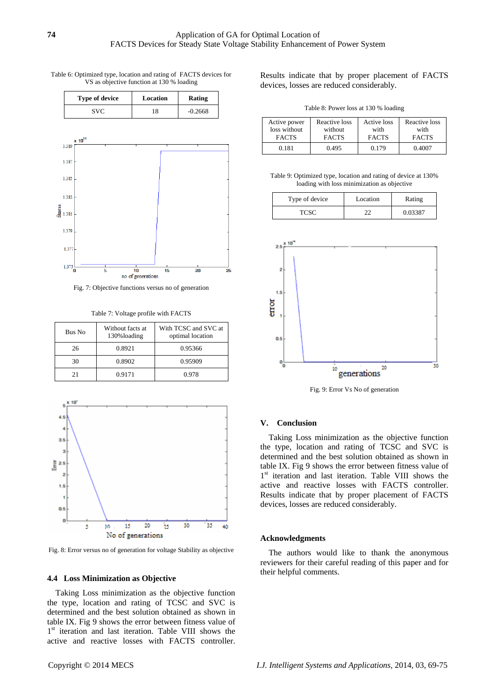| Table 6: Optimized type, location and rating of FACTS devices for |  |
|-------------------------------------------------------------------|--|
| VS as objective function at 130 % loading                         |  |

| <b>Type of device</b> | Location | Rating    |  |
|-----------------------|----------|-----------|--|
| SVC.                  | 18       | $-0.2668$ |  |



Fig. 7: Objective functions versus no of generation

Table 7: Voltage profile with FACTS

| Bus No | Without facts at<br>130% loading | With TCSC and SVC at<br>optimal location |
|--------|----------------------------------|------------------------------------------|
| 26     | 0.8921                           | 0.95366                                  |
| 30     | 0.8902                           | 0.95909                                  |
| 21     | 0.9171                           | 0.978                                    |



Fig. 8: Error versus no of generation for voltage Stability as objective

#### **4.4 Loss Minimization as Objective**

Taking Loss minimization as the objective function the type, location and rating of TCSC and SVC is determined and the best solution obtained as shown in table IX. Fig 9 shows the error between fitness value of 1<sup>st</sup> iteration and last iteration. Table VIII shows the active and reactive losses with FACTS controller.

Results indicate that by proper placement of FACTS devices, losses are reduced considerably.

Table 8: Power loss at 130 % loading

| Active power | Reactive loss | Active loss  | Reactive loss |
|--------------|---------------|--------------|---------------|
| loss without | without       | with         | with          |
| <b>FACTS</b> | <b>FACTS</b>  | <b>FACTS</b> | <b>FACTS</b>  |
| 0.181        | 0.495         | 0.179        | 0.4007        |

Table 9: Optimized type, location and rating of device at 130% loading with loss minimization as objective

| Type of device | Location | Rating  |
|----------------|----------|---------|
| <b>TCSC</b>    |          | 0.03387 |



Fig. 9: Error Vs No of generation

### **V. Conclusion**

Taking Loss minimization as the objective function the type, location and rating of TCSC and SVC is determined and the best solution obtained as shown in table IX. Fig 9 shows the error between fitness value of 1<sup>st</sup> iteration and last iteration. Table VIII shows the active and reactive losses with FACTS controller. Results indicate that by proper placement of FACTS devices, losses are reduced considerably.

#### **Acknowledgments**

The authors would like to thank the anonymous reviewers for their careful reading of this paper and for their helpful comments.